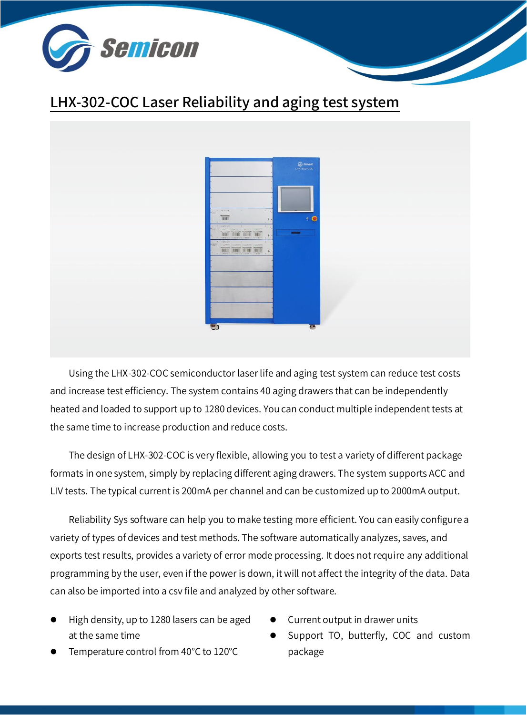

### LHX-302-COC Laser Reliability and aging test system



Using the LHX-302-COC semiconductor laser life and aging test system can reduce test costs and increase test efficiency. The system contains 40 aging drawers that can be independently heated and loaded to support up to 1280 devices. You can conduct multiple independent tests at the same time to increase production and reduce costs.

The design of LHX-302-COC is very flexible, allowing you to test a variety of different package formats in one system, simply by replacing different aging drawers. The system supports ACC and LIV tests. The typical current is 200mA per channel and can be customized up to 2000mA output.

Reliability Sys software can help you to make testing more efficient. You can easily configure a variety of types of devices and test methods. The software automatically analyzes, saves, and exports test results, provides a variety of error mode processing. It does not require any additional programming by the user, even if the power is down, it will not affect the integrity of the data. Data can also be imported into a csv file and analyzed by other software.

- ⚫ High density, up to 1280 lasers can be aged at the same time
- Temperature control from 40°C to 120°C
- Current output in drawer units
- Support TO, butterfly, COC and custom package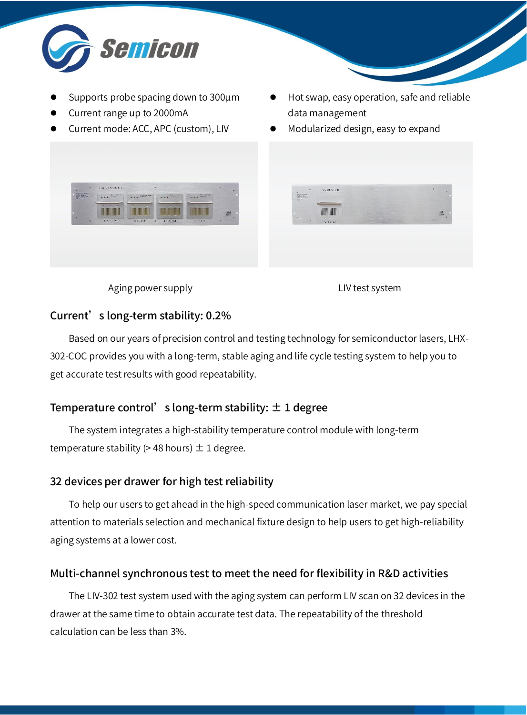

- ⚫ Supports probe spacing down to 300μm
- ⚫ Current range up to 2000mA
- ⚫ Current mode: ACC, APC (custom), LIV
- ⚫ Hot swap, easy operation, safe and reliable data management
- ⚫ Modularized design, easy to expand



Aging power supply and the control of the LIV test system

#### Current's long-term stability: 0.2%

Based on our years of precision control and testing technology for semiconductor lasers, LHX-302-COC provides you with a long-term, stable aging and life cycle testing system to help you to get accurate test results with good repeatability.

### Temperature control's long-term stability:  $\pm$  1 degree

The system integrates a high-stability temperature control module with long-term temperature stability ( $>$  48 hours)  $\pm$  1 degree.

### 32 devices per drawer for high test reliability

To help our users to get ahead in the high-speed communication laser market, we pay special attention to materials selection and mechanical fixture design to help users to get high-reliability aging systems at a lower cost.

### Multi-channel synchronous test to meet the need for flexibility in R&D activities

The LIV-302 test system used with the aging system can perform LIV scan on 32 devices in the drawer at the same time to obtain accurate test data. The repeatability of the threshold calculation can be less than 3%.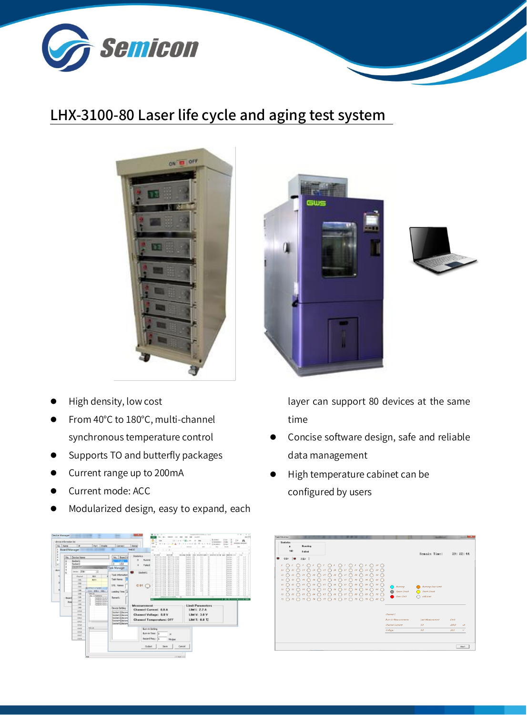

## LHX-3100-80 Laser life cycle and aging test system



- High density, low cost
- From 40°C to 180°C, multi-channel synchronous temperature control
- Supports TO and butterfly packages
- ⚫ Current range up to 200mA
- ⚫ Current mode: ACC
- ⚫ Modularized design, easy to expand, each







layer can support 80 devices at the same time

- ⚫ Concise software design, safe and reliable data management
- ⚫ High temperature cabinet can be configured by users

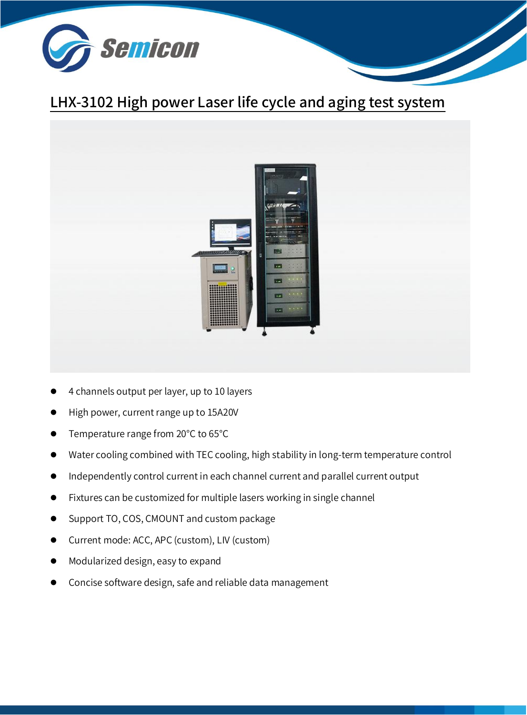

# LHX-3102 High power Laser life cycle and aging test system



- 4 channels output per layer, up to 10 layers
- ⚫ High power, current range up to 15A20V
- Temperature range from 20°C to 65°C
- Water cooling combined with TEC cooling, high stability in long-term temperature control
- ⚫ Independently control current in each channel current and parallel current output
- ⚫ Fixtures can be customized for multiple lasers working in single channel
- ⚫ Support TO, COS, CMOUNT and custom package
- ⚫ Current mode: ACC, APC (custom), LIV (custom)
- ⚫ Modularized design, easy to expand
- ⚫ Concise software design, safe and reliable data management